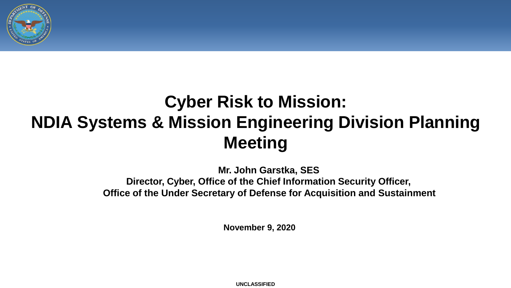

# **Cyber Risk to Mission: NDIA Systems & Mission Engineering Division Planning Meeting**

**Mr. John Garstka, SES Director, Cyber, Office of the Chief Information Security Officer, Office of the Under Secretary of Defense for Acquisition and Sustainment**

**November 9, 2020**

**UNCLASSIFIED**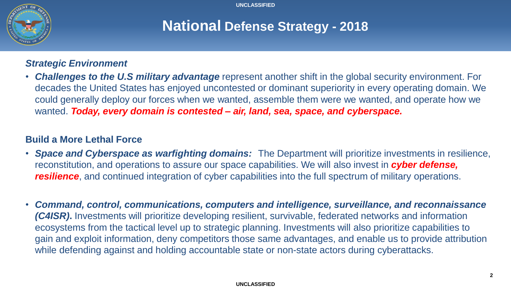

## **National Defense Strategy - 2018**

### *Strategic Environment*

• *Challenges to the U.S military advantage* represent another shift in the global security environment. For decades the United States has enjoyed uncontested or dominant superiority in every operating domain. We could generally deploy our forces when we wanted, assemble them were we wanted, and operate how we wanted. *Today, every domain is contested – air, land, sea, space, and cyberspace.*

### **Build a More Lethal Force**

- *Space and Cyberspace as warfighting domains:* The Department will prioritize investments in resilience, reconstitution, and operations to assure our space capabilities. We will also invest in *cyber defense, resilience*, and continued integration of cyber capabilities into the full spectrum of military operations.
- *Command, control, communications, computers and intelligence, surveillance, and reconnaissance (C4ISR)***.** Investments will prioritize developing resilient, survivable, federated networks and information ecosystems from the tactical level up to strategic planning. Investments will also prioritize capabilities to gain and exploit information, deny competitors those same advantages, and enable us to provide attribution while defending against and holding accountable state or non-state actors during cyberattacks.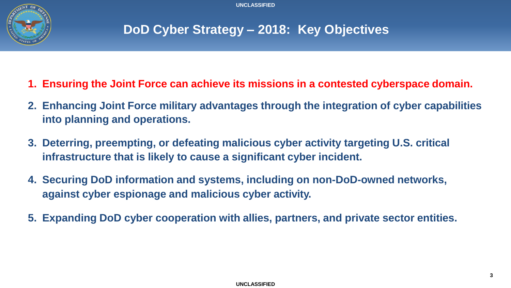

## **DoD Cyber Strategy – 2018: Key Objectives**

- **1. Ensuring the Joint Force can achieve its missions in a contested cyberspace domain.**
- **2. Enhancing Joint Force military advantages through the integration of cyber capabilities into planning and operations.**
- **3. Deterring, preempting, or defeating malicious cyber activity targeting U.S. critical infrastructure that is likely to cause a significant cyber incident.**
- **4. Securing DoD information and systems, including on non-DoD-owned networks, against cyber espionage and malicious cyber activity.**
- **5. Expanding DoD cyber cooperation with allies, partners, and private sector entities.**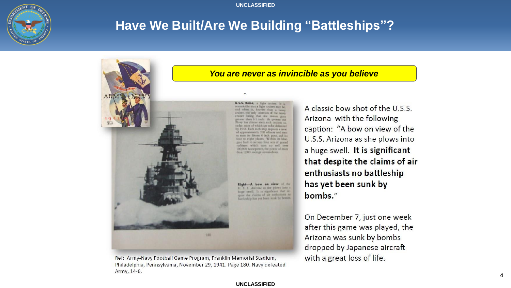

### **Have We Built/Are We Building "Battleships"?**



Ref: Army-Navy Football Game Program, Franklin Memorial Stadium, Philadelphia, Pennsylvania, November 29, 1941. Page 180. Navy defeated Army, 14-6.

### *You are never as invincible as you believe*

A classic bow shot of the U.S.S. Arizona with the following caption: "A bow on view of the U.S.S. Arizona as she plows into a huge swell. It is significant that despite the claims of air enthusiasts no battleship has yet been sunk by

bombs."

On December 7, just one week after this game was played, the Arizona was sunk by bombs dropped by Japanese aircraft with a great loss of life.

#### **UNCLASSIFIED**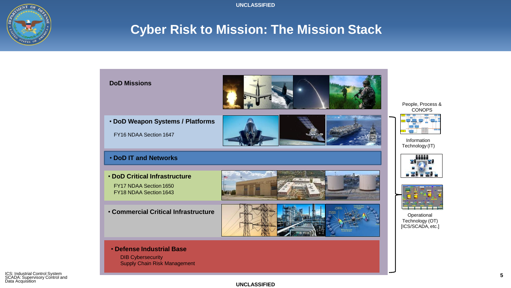

### **Cyber Risk to Mission: The Mission Stack**

**Cyber Risk to Mission: How it Fits Together** 

| <b>DoD Missions</b>                                                                                               |  | People, Process &<br><b>CONOPS</b>                  |
|-------------------------------------------------------------------------------------------------------------------|--|-----------------------------------------------------|
| • DoD Weapon Systems / Platforms<br>FY16 NDAA Section 1647                                                        |  | Information<br>Technology (IT)                      |
| . DoD IT and Networks<br><b>. DoD Critical Infrastructure</b><br>FY17 NDAA Section 1650<br>FY18 NDAA Section 1643 |  |                                                     |
| <b>• Commercial Critical Infrastructure</b>                                                                       |  | Operational<br>Technology (OT)<br>[ICS/SCADA, etc.] |
| • Defense Industrial Base<br><b>DIB Cybersecurity</b><br><b>Supply Chain Risk Management</b>                      |  |                                                     |

ICS: Industrial Control System SCADA: Supervisory Control and Data Acquisition

#### **UNCLASSIFIED**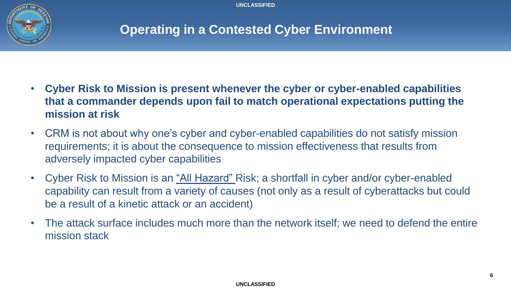

### **Operating in a Contested Cyber Environment**

- **Cyber Risk to Mission is present whenever the cyber or cyber-enabled capabilities that a commander depends upon fail to match operational expectations putting the mission at risk**
- CRM is not about why one's cyber and cyber-enabled capabilities do not satisfy mission requirements; it is about the consequence to mission effectiveness that results from adversely impacted cyber capabilities
- Cyber Risk to Mission is an "All Hazard" Risk; a shortfall in cyber and/or cyber-enabled capability can result from a variety of causes (not only as a result of cyberattacks but could be a result of a kinetic attack or an accident)
- The attack surface includes much more than the network itself; we need to defend the entire mission stack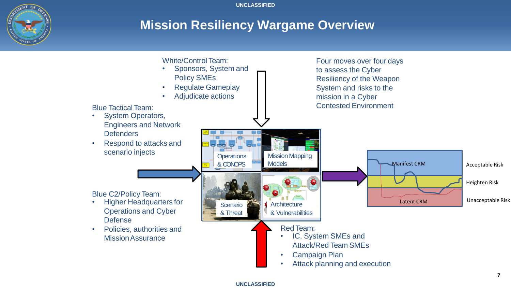

### **Mission Resiliency Wargame Overview**

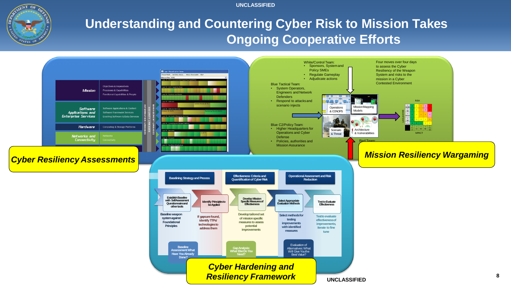

### **Understanding and Countering Cyber Risk to Mission Takes Ongoing Cooperative Efforts**